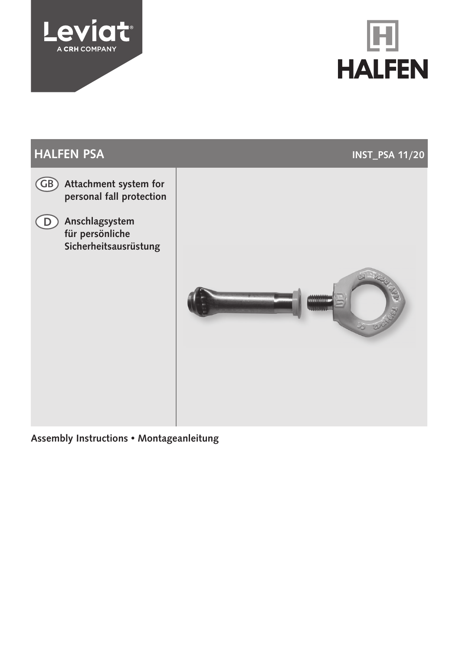





Assembly Instructions • Montageanleitung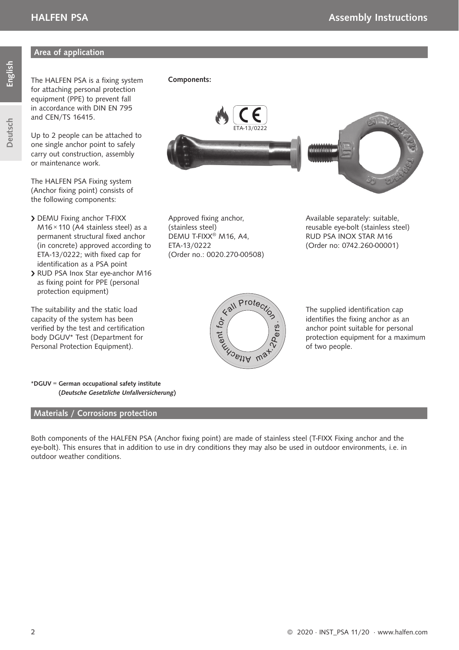#### Area of application

Deutsch

The HALFEN PSA is a fixing system for attaching personal protection equipment (PPE) to prevent fall in accordance with DIN EN 795 and CEN/TS 16415.

Up to 2 people can be attached to one single anchor point to safely carry out construction, assembly or maintenance work.

The HALFEN PSA Fixing system (Anchor fixing point) consists of the following components:

- > DEMU Fixing anchor T-FIXX M16 × 110 (A4 stainless steel) as a permanent structural fixed anchor (in concrete) approved according to ETA-13/0222; with fixed cap for identification as a PSA point
- RUD PSA Inox Star eye-anchor M16 as fixing point for PPE (personal protection equipment)

The suitability and the static load capacity of the system has been verified by the test and certification body DGUV\* Test (Department for Personal Protection Equipment).

Components:



Approved fixing anchor, (stainless steel) DEMU T-FIXX® M16, A4, ETA-13/0222 (Order no.: 0020.270-00508) Available separately: suitable, reusable eye-bolt (stainless steel) RUD PSA INOX STAR M16 (Order no: 0742.260-00001)



The supplied identification cap identifies the fixing anchor as an anchor point suitable for personal protection equipment for a maximum of two people.

\*DGUV = German occupational safety institute (Deutsche Gesetzliche Unfallversicherung)

#### Materials / Corrosions protection

Both components of the HALFEN PSA (Anchor fixing point) are made of stainless steel (T-FIXX Fixing anchor and the eye-bolt). This ensures that in addition to use in dry conditions they may also be used in outdoor environments, i.e. in outdoor weather conditions.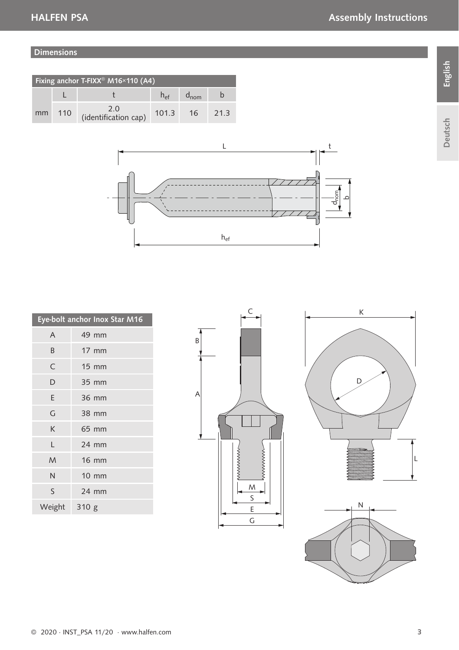#### Dimensions

| Fixing anchor T-FIXX <sup>®</sup> M16×110 (A4) |     |                             |                 |           |     |
|------------------------------------------------|-----|-----------------------------|-----------------|-----------|-----|
|                                                |     |                             | $h_{\text{ef}}$ | $d_{nom}$ |     |
| mm                                             | 110 | 2.0<br>(identification cap) | 101.3           | 16        | 213 |



|        | Eye-bolt anchor Inox Star M16 |
|--------|-------------------------------|
| A      | 49 mm                         |
| B      | $17$ mm                       |
| C      | <b>15 mm</b>                  |
| D      | 35 mm                         |
| E      | 36 mm                         |
| G      | 38 mm                         |
| K      | 65 mm                         |
| L      | 24 mm                         |
| M      | <b>16 mm</b>                  |
| N      | <b>10 mm</b>                  |
| S      | 24 mm                         |
| Weight | 310g                          |







Deutsch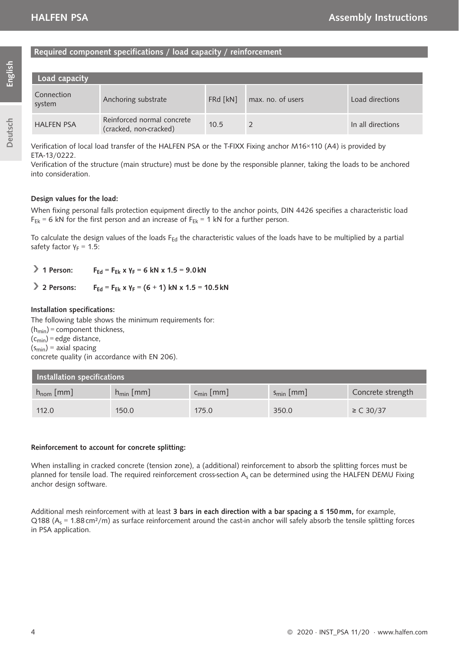#### Required component specifications / load capacity / reinforcement

| Load capacity        |                                                      |          |                   |                   |
|----------------------|------------------------------------------------------|----------|-------------------|-------------------|
| Connection<br>system | Anchoring substrate                                  | FRd [kN] | max, no, of users | Load directions   |
| <b>HALFEN PSA</b>    | Reinforced normal concrete<br>(cracked, non-cracked) | 10.5     |                   | In all directions |

Verification of local load transfer of the HALFEN PSA or the T-FIXX Fixing anchor M16×110 (A4) is provided by ETA-13/0222.

Verification of the structure (main structure) must be done by the responsible planner, taking the loads to be anchored into consideration.

#### Design values for the load:

When fixing personal falls protection equipment directly to the anchor points, DIN 4426 specifies a characteristic load  $F_{FL} = 6$  kN for the first person and an increase of  $F_{FL} = 1$  kN for a further person.

To calculate the design values of the loads  $F_{Ed}$  the characteristic values of the loads have to be multiplied by a partial safety factor  $Y_F = 1.5$ :

**1 Person:** F<sub>Ed</sub> = F<sub>Ek</sub> x Y<sub>E</sub> = 6 kN x 1.5 = 9.0 kN

#### **2 Persons:** F<sub>Ed</sub> = F<sub>EL</sub> x Y<sub>E</sub> = (6 + 1) kN x 1.5 = 10.5 kN

#### Installation specifications:

The following table shows the minimum requirements for:

 $(h_{\min})$  = component thickness.

 $(c_{\text{min}})$  = edge distance,

 $(s_{min})$  = axial spacing

concrete quality (in accordance with EN 206).

| Installation specifications |                 |                 |                 |                   |
|-----------------------------|-----------------|-----------------|-----------------|-------------------|
| $h_{nom}$ [mm]              | $h_{\min}$ [mm] | $c_{\min}$ [mm] | $s_{\min}$ [mm] | Concrete strength |
| 112.0                       | 150.0           | 175.0           | 350.0           | $\ge C$ 30/37     |

#### Reinforcement to account for concrete splitting:

When installing in cracked concrete (tension zone), a (additional) reinforcement to absorb the splitting forces must be planned for tensile load. The required reinforcement cross-section As can be determined using the HALFEN DEMU Fixing anchor design software.

Additional mesh reinforcement with at least 3 bars in each direction with a bar spacing a  $\leq$  150 mm, for example,  $Q188$  (A<sub>s</sub> = 1.88 cm<sup>2</sup>/m) as surface reinforcement around the cast-in anchor will safely absorb the tensile splitting forces in PSA application.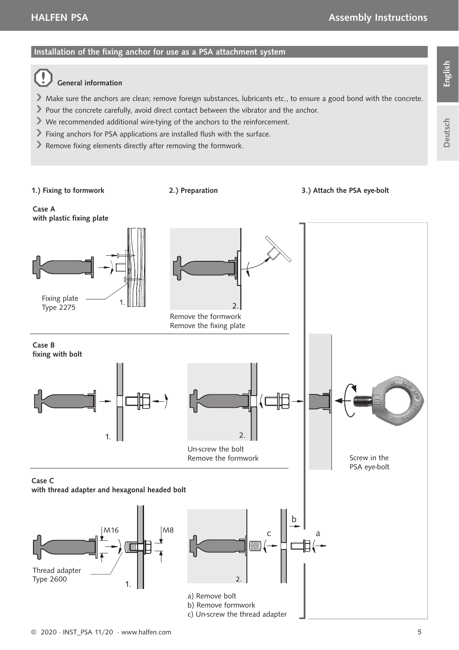#### Installation of the fixing anchor for use as a PSA attachment system

#### General information

Make sure the anchors are clean; remove foreign substances, lubricants etc., to ensure a good bond with the concrete.

2.) Preparation 3.) Attach the PSA eye-bolt

- Pour the concrete carefully, avoid direct contact between the vibrator and the anchor.
- We recommended additional wire-tying of the anchors to the reinforcement.
- Fixing anchors for PSA applications are installed flush with the surface.
- Remove fixing elements directly after removing the formwork.

1.) Fixing to formwork

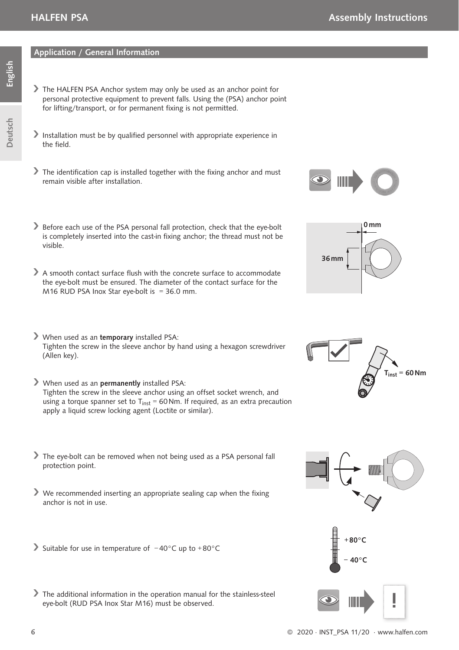#### Application / General Information

- The HALFEN PSA Anchor system may only be used as an anchor point for personal protective equipment to prevent falls. Using the (PSA) anchor point for lifting/transport, or for permanent fixing is not permitted.
- Installation must be by qualified personnel with appropriate experience in the field.
- $\blacktriangleright$  The identification cap is installed together with the fixing anchor and must remain visible after installation.
- Before each use of the PSA personal fall protection, check that the eve-bolt is completely inserted into the cast-in fixing anchor; the thread must not be visible.
- A smooth contact surface flush with the concrete surface to accommodate the eye-bolt must be ensured. The diameter of the contact surface for the M16 RUD PSA Inox Star eye-bolt is  $= 36.0$  mm.
- When used as an temporary installed PSA: Tighten the screw in the sleeve anchor by hand using a hexagon screwdriver (Allen key).
- When used as an permanently installed PSA: Tighten the screw in the sleeve anchor using an offset socket wrench, and using a torque spanner set to  $T_{\text{inst}}$  = 60 Nm. If required, as an extra precaution apply a liquid screw locking agent (Loctite or similar).
- The eye-bolt can be removed when not being used as a PSA personal fall protection point.
- $\blacktriangleright$  We recommended inserting an appropriate sealing cap when the fixing anchor is not in use.
- Suitable for use in temperature of − 40°C up to + 80°C
- The additional information in the operation manual for the stainless-steel eye-bolt (RUD PSA Inox Star M16) must be observed.











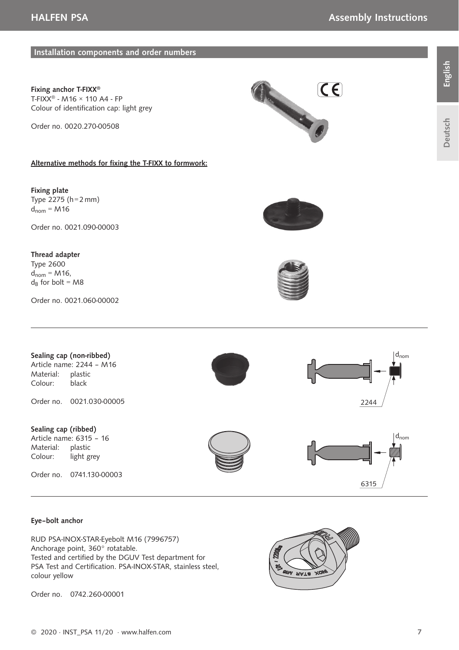#### Installation components and order numbers

Fixing anchor T-FIXX® T-FIXX® - M16 × 110 A4 - FP Colour of identification cap: light grey

Order no. 0020.270-00508

#### Alternative methods for fixing the T-FIXX to formwork:

Fixing plate Type  $2275$  (h = 2 mm)  $d_{nom} = M16$ 

Order no. 0021.090-00003

#### Thread adapter

Type 2600  $d_{nom} = M16$ ,  $d_B$  for bolt = M8

Order no. 0021.060-00002









#### Eye–bolt anchor

RUD PSA-INOX-STAR-Eyebolt M16 (7996757) Anchorage point, 360° rotatable. Tested and certified by the DGUV Test department for PSA Test and Certification. PSA-INOX-STAR, stainless steel. colour yellow

Order no. 0742.260-00001

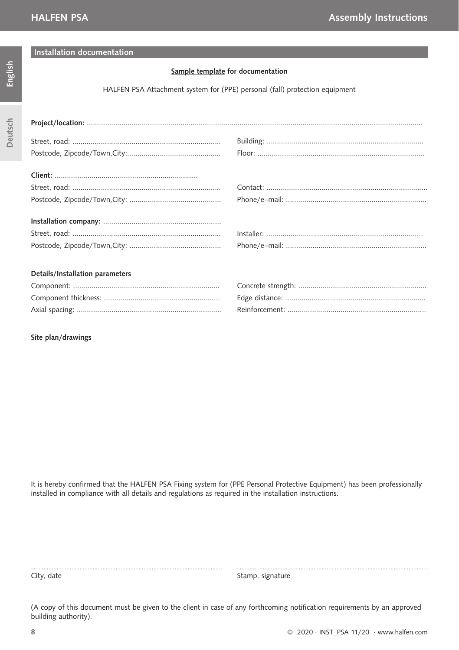Deutsch

#### Installation documentation

#### Sample template for documentation

HALFEN PSA Attachment system for (PPE) personal (fall) protection equipment

| $\textbf{Project/location:} \; \; \ldots \; \; \ldots \; \; \ldots \; \; \ldots \; \; \ldots \; \; \ldots \; \; \ldots \; \; \ldots \; \; \ldots \; \; \ldots \; \; \ldots \; \; \ldots \; \; \ldots \; \; \ldots \; \; \ldots \; \; \ldots \; \; \ldots \; \; \ldots \; \; \ldots \; \; \ldots \; \; \ldots \; \; \ldots \; \; \ldots \; \; \ldots \; \; \ldots \; \; \ldots \; \; \ldots \; \; \ldots \; \; \ldots \; \; \ldots \$ |  |
|--------------------------------------------------------------------------------------------------------------------------------------------------------------------------------------------------------------------------------------------------------------------------------------------------------------------------------------------------------------------------------------------------------------------------------------|--|
|                                                                                                                                                                                                                                                                                                                                                                                                                                      |  |
|                                                                                                                                                                                                                                                                                                                                                                                                                                      |  |
|                                                                                                                                                                                                                                                                                                                                                                                                                                      |  |
|                                                                                                                                                                                                                                                                                                                                                                                                                                      |  |
|                                                                                                                                                                                                                                                                                                                                                                                                                                      |  |
|                                                                                                                                                                                                                                                                                                                                                                                                                                      |  |
|                                                                                                                                                                                                                                                                                                                                                                                                                                      |  |
|                                                                                                                                                                                                                                                                                                                                                                                                                                      |  |
|                                                                                                                                                                                                                                                                                                                                                                                                                                      |  |
| Details/Installation parameters                                                                                                                                                                                                                                                                                                                                                                                                      |  |
|                                                                                                                                                                                                                                                                                                                                                                                                                                      |  |
|                                                                                                                                                                                                                                                                                                                                                                                                                                      |  |
|                                                                                                                                                                                                                                                                                                                                                                                                                                      |  |
|                                                                                                                                                                                                                                                                                                                                                                                                                                      |  |
|                                                                                                                                                                                                                                                                                                                                                                                                                                      |  |

Site plan/drawings

It is hereby confirmed that the HALFEN PSA Fixing system for (PPE Personal Protective Equipment) has been professionally installed in compliance with all details and regulations as required in the installation instructions.

City, date Stamp, signature

(A copy of this document must be given to the client in case of any forthcoming notification requirements by an approved building authority).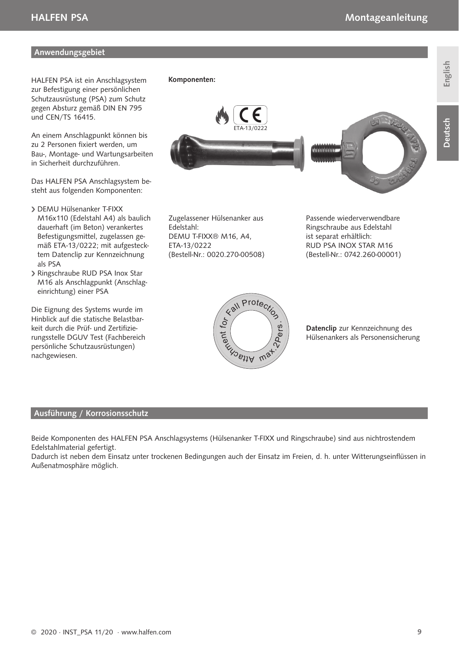**Anwendungsgebiet** 

HALFEN PSA ist ein Anschlagsystem

zur Befestigung einer persönlichen Schutzausrüstung (PSA) zum Schutz gegen Absturz gemäß DIN EN 795 und CEN/TS 16415.

An einem Anschlagpunkt können bis zu 2 Personen fixiert werden, um Bau-, Montage- und Wartungsarbeiten in Sicherheit durchzuführen.

Das HALFEN PSA Anschlagsystem besteht aus folgenden Komponenten:

- DEMU Hülsenanker T-FIXX M16x110 (Edelstahl A4) als baulich dauerhaft (im Beton) verankertes Befestigungsmittel, zugelassen gemäß ETA-13/0222; mit aufgestecktem Datenclip zur Kennzeichnung als PSA
- Ringschraube RUD PSA Inox Star M16 als Anschlagpunkt (Anschlageinrichtung) einer PSA

Die Eignung des Systems wurde im Hinblick auf die statische Belastbarkeit durch die Prüf- und Zertifizierungsstelle DGUV Test (Fachbereich persönliche Schutzausrüstungen) nachgewiesen.

# ETA-13/0222 lalalalalalah

Zugelassener Hülsenanker aus Edelstahl: DEMU T-FIXX® M16, A4, ETA-13/0222 (Bestell-Nr.: 0020.270-00508)

Komponenten:

Passende wiederverwendbare Ringschraube aus Edelstahl ist separat erhältlich: RUD PSA INOX STAR M16 (Bestell-Nr.: 0742.260-00001)



Datenclip zur Kennzeichnung des Hülsenankers als Personensicherung

#### Ausführung / Korrosionsschutz

Beide Komponenten des HALFEN PSA Anschlagsystems (Hülsenanker T-FIXX und Ringschraube) sind aus nichtrostendem Edelstahlmaterial gefertigt.

Dadurch ist neben dem Einsatz unter trockenen Bedingungen auch der Einsatz im Freien, d. h. unter Witterungseinflüssen in Außenatmosphäre möglich.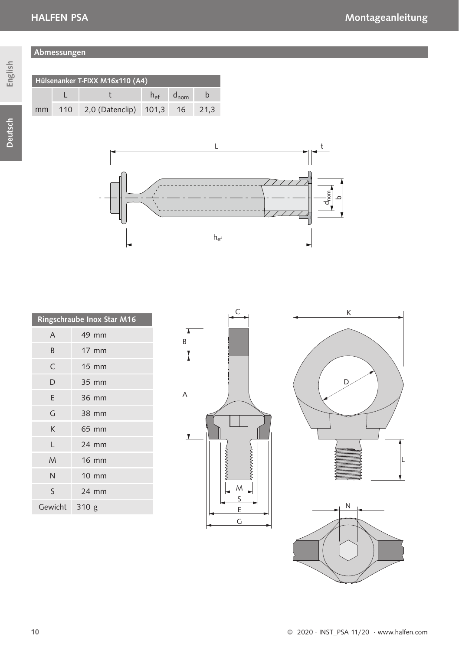Abmessungen

Hülsenanker T-FIXX M16x110 (A4)

L t  $h_{ef}$  d<sub>nom</sub> b 2,0 (Datenclip) 101,3 16 21,3

Deutsch

| mm | 110 |
|----|-----|
|    |     |
|    |     |
|    |     |



|               | Ringschraube Inox Star M16 |
|---------------|----------------------------|
| A             | 49 mm                      |
| B             | $17 \text{ mm}$            |
| C             | $15 \text{ mm}$            |
| D             | 35 mm                      |
| E             | 36 mm                      |
| G             | 38 mm                      |
| K             | 65 mm                      |
| L             | 24 mm                      |
| M             | <b>16 mm</b>               |
| N             | $10 \text{ mm}$            |
| S             | 24 mm                      |
| Gewicht 310 g |                            |





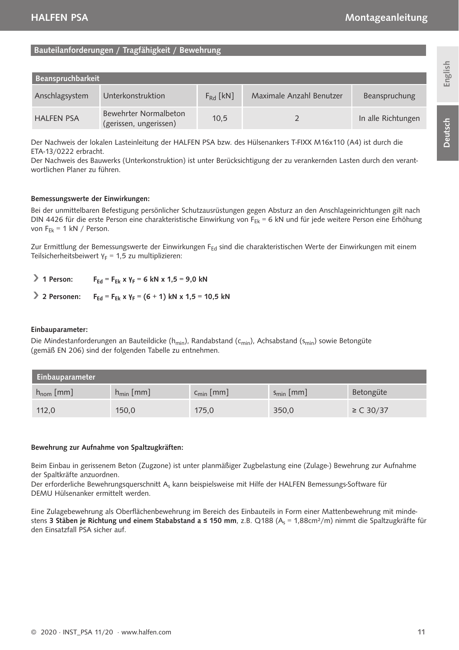#### Bauteilanforderungen / Tragfähigkeit / Bewehrung

| Beanspruchbarkeit |                                                 |               |                          |                    |
|-------------------|-------------------------------------------------|---------------|--------------------------|--------------------|
| Anschlagsystem    | Unterkonstruktion                               | $F_{Rd}$ [kN] | Maximale Anzahl Benutzer | Beanspruchung      |
| <b>HALFEN PSA</b> | Bewehrter Normalbeton<br>(gerissen, ungerissen) | 10.5          |                          | In alle Richtungen |

Der Nachweis der lokalen Lasteinleitung der HALFEN PSA bzw. des Hülsenankers T-FIXX M16x110 (A4) ist durch die ETA-13/0222 erbracht.

Der Nachweis des Bauwerks (Unterkonstruktion) ist unter Berücksichtigung der zu verankernden Lasten durch den verantwortlichen Planer zu führen.

#### Bemessungswerte der Einwirkungen:

Bei der unmittelbaren Befestigung persönlicher Schutzausrüstungen gegen Absturz an den Anschlageinrichtungen gilt nach DIN 4426 für die erste Person eine charakteristische Einwirkung von FFK = 6 kN und für jede weitere Person eine Erhöhung von  $F_{FL} = 1$  kN / Person.

Zur Ermittlung der Bemessungswerte der Einwirkungen F<sub>Ed</sub> sind die charakteristischen Werte der Einwirkungen mit einem Teilsicherheitsbeiwert  $Y_F = 1,5$  zu multiplizieren:

- $\triangleright$  1 Person: F<sub>Ed</sub> = F<sub>Ek</sub> x γ<sub>F</sub> = 6 kN x 1,5 = 9,0 kN
- 2 Personen: F<sub>Ed</sub> = F<sub>Ek</sub> x γ<sub>F</sub> = (6 + 1) kN x 1,5 = 10,5 kN

#### Einbauparameter:

Die Mindestanforderungen an Bauteildicke (h<sub>min</sub>), Randabstand (c<sub>min</sub>), Achsabstand (s<sub>min</sub>) sowie Betongüte (gemäß EN 206) sind der folgenden Tabelle zu entnehmen.

| Einbauparameter       |                 |                 |                 |               |
|-----------------------|-----------------|-----------------|-----------------|---------------|
| $h_{\text{nom}}$ [mm] | $h_{\min}$ [mm] | $c_{\min}$ [mm] | $s_{\min}$ [mm] | Betongüte     |
| 112,0                 | 150,0           | 175,0           | 350,0           | $\ge C$ 30/37 |

#### Bewehrung zur Aufnahme von Spaltzugkräften:

Beim Einbau in gerissenem Beton (Zugzone) ist unter planmäßiger Zugbelastung eine (Zulage-) Bewehrung zur Aufnahme der Spaltkräfte anzuordnen.

Der erforderliche Bewehrungsquerschnitt As kann beispielsweise mit Hilfe der HALFEN Bemessungs-Software für DEMU Hülsenanker ermittelt werden.

Eine Zulagebewehrung als Oberflächenbewehrung im Bereich des Einbauteils in Form einer Mattenbewehrung mit mindestens 3 Stäben ie Richtung und einem Stababstand a ≤ 150 mm, z.B. Q188 (A. = 1.88cm<sup>2</sup>/m) nimmt die Spaltzugkräfte für den Einsatzfall PSA sicher auf.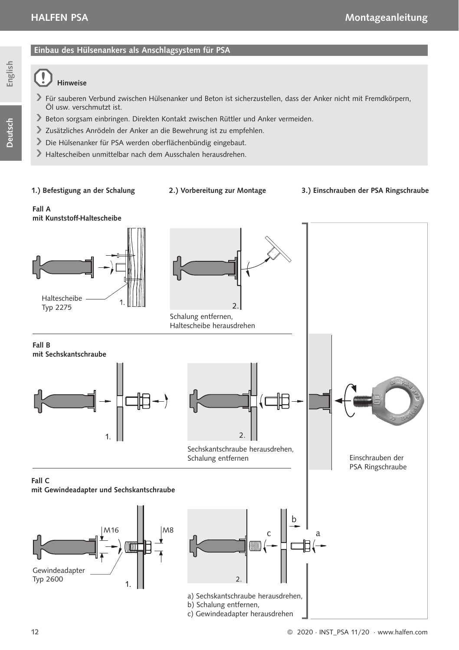Deutsch

## Einbau des Hülsenankers als Anschlagsystem für PSA

## Hinweise

- Für sauberen Verbund zwischen Hülsenanker und Beton ist sicherzustellen, dass der Anker nicht mit Fremdkörpern, Öl usw. verschmutzt ist.
- Beton sorgsam einbringen. Direkten Kontakt zwischen Rüttler und Anker vermeiden.
- Zusätzliches Anrödeln der Anker an die Bewehrung ist zu empfehlen.
- Die Hülsenanker für PSA werden oberflächenbündig eingebaut.
- Haltescheiben unmittelbar nach dem Ausschalen herausdrehen.

#### 1.) Befestigung an der Schalung

- 
- 2.) Vorbereitung zur Montage 3.) Einschrauben der PSA Ringschraube

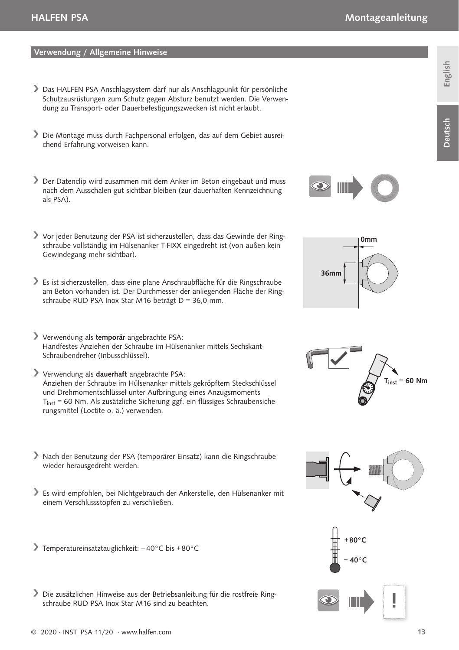## English

#### Verwendung / Allgemeine Hinweise

- Das HALFEN PSA Anschlagsystem darf nur als Anschlagpunkt für persönliche Schutzausrüstungen zum Schutz gegen Absturz benutzt werden. Die Verwendung zu Transport- oder Dauerbefestigungszwecken ist nicht erlaubt.
- Die Montage muss durch Fachpersonal erfolgen, das auf dem Gebiet ausreichend Erfahrung vorweisen kann.
- Der Datenclip wird zusammen mit dem Anker im Beton eingebaut und muss nach dem Ausschalen gut sichtbar bleiben (zur dauerhaften Kennzeichnung als PSA).
- Vor jeder Benutzung der PSA ist sicherzustellen, dass das Gewinde der Ringschraube vollständig im Hülsenanker T-FIXX eingedreht ist (von außen kein Gewindegang mehr sichtbar).
- Es ist sicherzustellen, dass eine plane Anschraubfläche für die Ringschraube am Beton vorhanden ist. Der Durchmesser der anliegenden Fläche der Ringschraube RUD PSA Inox Star M16 beträgt D =  $36.0$  mm.
- Verwendung als temporär angebrachte PSA: Handfestes Anziehen der Schraube im Hülsenanker mittels Sechskant-Schraubendreher (Inbusschlüssel).
- Verwendung als dauerhaft angebrachte PSA: Anziehen der Schraube im Hülsenanker mittels gekröpftem Steckschlüssel und Drehmomentschlüssel unter Aufbringung eines Anzugsmoments Tinst = 60 Nm. Als zusätzliche Sicherung ggf. ein flüssiges Schraubensicherungsmittel (Loctite o. ä.) verwenden.
- Nach der Benutzung der PSA (temporärer Einsatz) kann die Ringschraube wieder herausgedreht werden.
- Es wird empfohlen, bei Nichtgebrauch der Ankerstelle, den Hülsenanker mit einem Verschlussstopfen zu verschließen.
- Temperatureinsatztauglichkeit: − 40°C bis + 80°C
- Die zusätzlichen Hinweise aus der Betriebsanleitung für die rostfreie Ringschraube RUD PSA Inox Star M16 sind zu beachten.











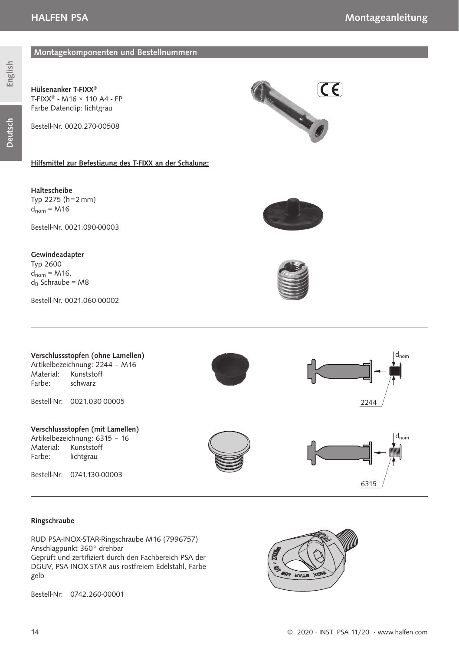Deutsch

Hülsenanker T-FIXX® T-FIXX® - M16 × 110 A4 - FP Farbe Datenclip: lichtgrau



Bestell-Nr. 0020.270-00508

#### Hilfsmittel zur Befestigung des T-FIXX an der Schalung:

Montagekomponenten und Bestellnummern

Haltescheibe Typ  $2275$  (h = 2 mm)  $d_{nom} = M16$ 

Bestell-Nr. 0021.090-00003

#### Gewindeadapter

Typ 2600  $d_{nom} = M16$ ,  $d_B$  Schraube = M8

Bestell-Nr. 0021.060-00002







#### Ringschraube

RUD PSA-INOX-STAR-Ringschraube M16 (7996757) Anschlagpunkt 360° drehbar Geprüft und zertifiziert durch den Fachbereich PSA der DGUV, PSA-INOX-STAR aus rostfreiem Edelstahl, Farbe gelb

Bestell-Nr: 0742.260-00001

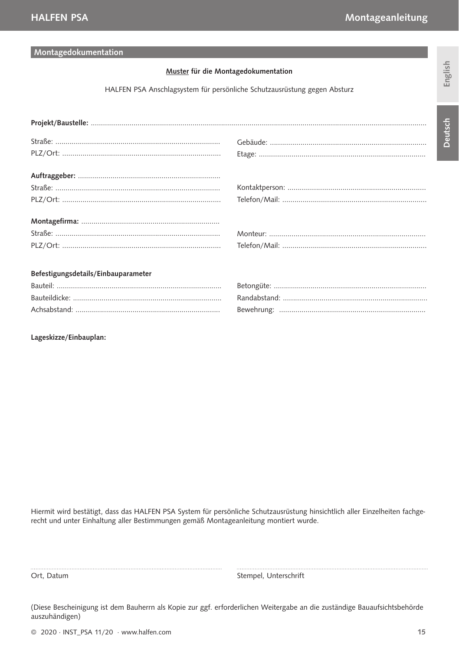#### Montagedokumentation

#### Muster für die Montagedokumentation

HALFEN PSA Anschlagsystem für persönliche Schutzausrüstung gegen Absturz

| Befestigungsdetails/Einbauparameter |  |
|-------------------------------------|--|
|                                     |  |
|                                     |  |
|                                     |  |
| Lageskizze/Einbauplan:              |  |

Hiermit wird bestätigt, dass das HALFEN PSA System für persönliche Schutzausrüstung hinsichtlich aller Einzelheiten fachgerecht und unter Einhaltung aller Bestimmungen gemäß Montageanleitung montiert wurde.

Ort, Datum Stempel, Unterschrift

(Diese Bescheinigung ist dem Bauherrn als Kopie zur ggf. erforderlichen Weitergabe an die zuständige Bauaufsichtsbehörde auszuhändigen)